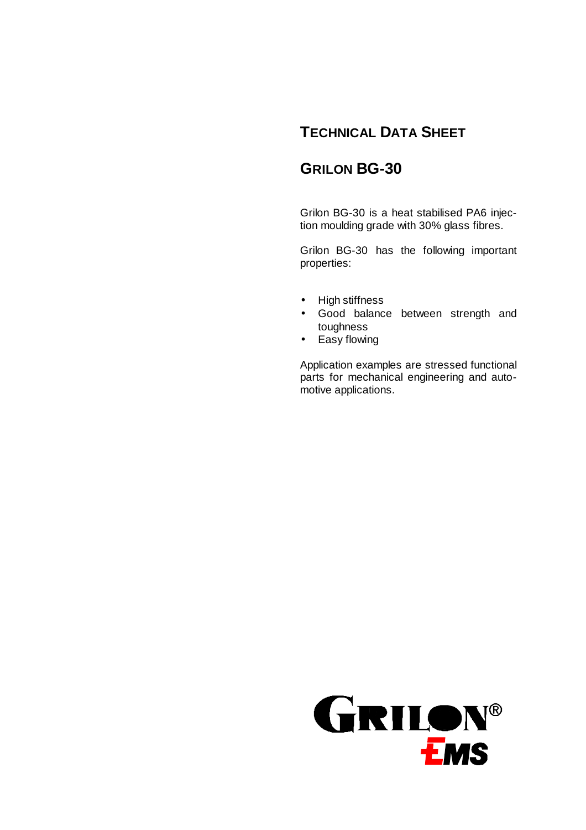# **TECHNICAL DATA SHEET**

# **GRILON BG-30**

Grilon BG-30 is a heat stabilised PA6 injection moulding grade with 30% glass fibres.

Grilon BG-30 has the following important properties:

- High stiffness
- Good balance between strength and toughness
- Easy flowing

Application examples are stressed functional parts for mechanical engineering and automotive applications.

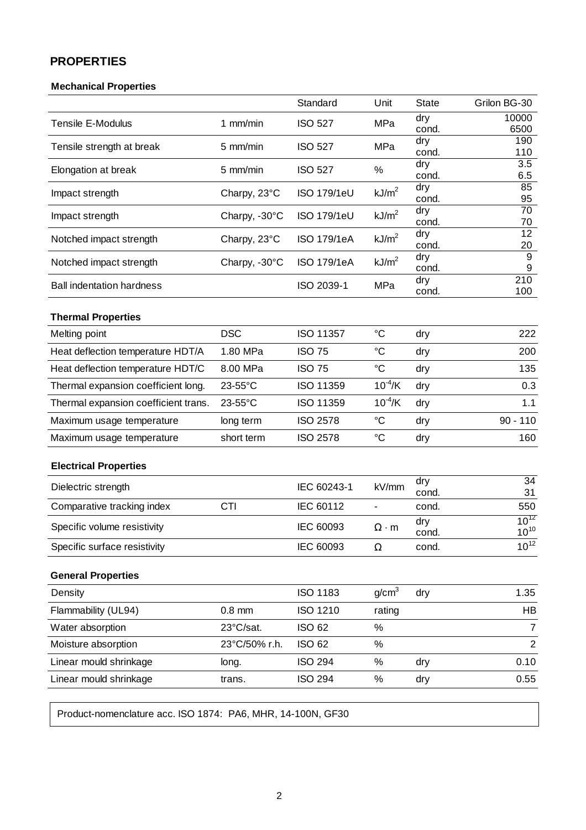## **PROPERTIES**

## **Mechanical Properties**

|                                          |               | Standard           | Unit              | <b>State</b> | Grilon BG-30           |
|------------------------------------------|---------------|--------------------|-------------------|--------------|------------------------|
| <b>Tensile E-Modulus</b>                 | 1 mm/min      | <b>ISO 527</b>     | MPa               | dry<br>cond. | 10000<br>6500          |
| Tensile strength at break                | 5 mm/min      | <b>ISO 527</b>     | MPa               | dry<br>cond. | 190<br>110             |
| Elongation at break                      | 5 mm/min      | <b>ISO 527</b>     | %                 | dry<br>cond. | 3.5<br>6.5             |
| Impact strength                          | Charpy, 23°C  | <b>ISO 179/1eU</b> | kJ/m <sup>2</sup> | dry<br>cond. | 85<br>95               |
| Impact strength                          | Charpy, -30°C | <b>ISO 179/1eU</b> | kJ/m <sup>2</sup> | dry<br>cond. | 70<br>70               |
| Notched impact strength                  | Charpy, 23°C  | <b>ISO 179/1eA</b> | kJ/m <sup>2</sup> | dry<br>cond. | 12<br>20               |
| Notched impact strength<br>Charpy, -30°C |               | ISO 179/1eA        | kJ/m <sup>2</sup> | dry<br>cond. | 9<br>9                 |
| <b>Ball indentation hardness</b>         |               | ISO 2039-1         | MPa               | dry<br>cond. | 210<br>100             |
| <b>Thermal Properties</b>                |               |                    |                   |              |                        |
| <b>DSC</b><br>Melting point              |               | ISO 11357          | $\rm ^{\circ}C$   | dry          | 222                    |
| Heat deflection temperature HDT/A        | 1.80 MPa      | <b>ISO 75</b>      | $\rm ^{\circ}C$   | dry          | 200                    |
| Heat deflection temperature HDT/C        | 8.00 MPa      | <b>ISO 75</b>      | $\rm ^{\circ}C$   | dry          | 135                    |
| Thermal expansion coefficient long.      | 23-55°C       | ISO 11359          | $10^{-4}$ /K      | dry          | 0.3                    |
| Thermal expansion coefficient trans.     | 23-55°C       | ISO 11359          | $10^{-4}$ /K      | dry          | 1.1                    |
| Maximum usage temperature                | long term     | <b>ISO 2578</b>    | °C                | dry          | $90 - 110$             |
| Maximum usage temperature                | short term    | <b>ISO 2578</b>    | $\rm ^{\circ}C$   | dry          | 160                    |
| <b>Electrical Properties</b>             |               |                    |                   |              |                        |
| Dielectric strength                      |               | IEC 60243-1        | kV/mm             | dry<br>cond. | 34<br>31               |
| Comparative tracking index               | CTI           |                    |                   | cond.        | 550                    |
| Specific volume resistivity              |               | IEC 60093          | $\Omega \cdot m$  | dry<br>cond. | $10^{12}$<br>$10^{10}$ |
| Specific surface resistivity             |               | IEC 60093          | $\Omega$          | cond.        | $10^{12}$              |
| <b>General Properties</b>                |               |                    |                   |              |                        |
| Density                                  |               | <b>ISO 1183</b>    | g/cm <sup>3</sup> | dry          | 1.35                   |
| Flammability (UL94)                      | $0.8$ mm      | <b>ISO 1210</b>    | rating            |              | HB                     |
| Water absorption                         | 23°C/sat.     | <b>ISO 62</b>      | $\%$              |              | $\overline{7}$         |
| Moisture absorption                      | 23°C/50% r.h. | <b>ISO 62</b>      | %                 |              | $\overline{2}$         |
| Linear mould shrinkage                   | long.         | <b>ISO 294</b>     | %                 | dry          | 0.10                   |
| Linear mould shrinkage                   | trans.        | <b>ISO 294</b>     | $\%$              | dry          | 0.55                   |
|                                          |               |                    |                   |              |                        |

Product-nomenclature acc. ISO 1874: PA6, MHR, 14-100N, GF30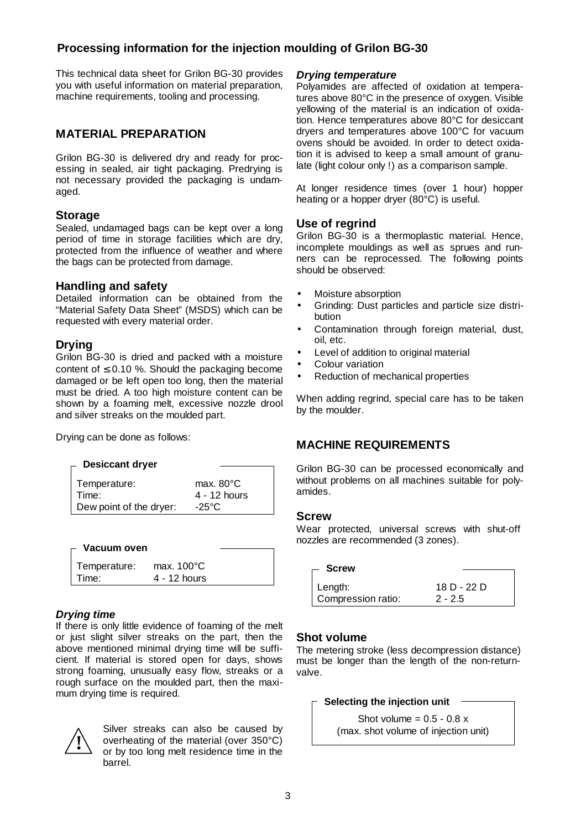## **Processing information for the injection moulding of Grilon BG-30**

This technical data sheet for Grilon BG-30 provides you with useful information on material preparation, machine requirements, tooling and processing.

## **MATERIAL PREPARATION**

Grilon BG-30 is delivered dry and ready for processing in sealed, air tight packaging. Predrying is not necessary provided the packaging is undamaged.

### **Storage**

Sealed, undamaged bags can be kept over a long period of time in storage facilities which are dry, protected from the influence of weather and where the bags can be protected from damage.

### **Handling and safety**

Detailed information can be obtained from the "Material Safety Data Sheet" (MSDS) which can be requested with every material order.

### **Drying**

Grilon BG-30 is dried and packed with a moisture content of  $\leq$  0.10 %. Should the packaging become damaged or be left open too long, then the material must be dried. A too high moisture content can be shown by a foaming melt, excessive nozzle drool and silver streaks on the moulded part.

Drying can be done as follows:

#### **Desiccant dryer**

| Temperature:            | max. $80^{\circ}$ C |
|-------------------------|---------------------|
| l Time:                 | 4 - 12 hours        |
| Dew point of the dryer: | $-25^{\circ}$ C     |

| - Vacuum oven |                      |  |
|---------------|----------------------|--|
| Temperature:  | max. $100^{\circ}$ C |  |
| Time:         | $4 - 12$ hours       |  |

### *Drying time*

If there is only little evidence of foaming of the melt or just slight silver streaks on the part, then the above mentioned minimal drying time will be sufficient. If material is stored open for days, shows strong foaming, unusually easy flow, streaks or a rough surface on the moulded part, then the maximum drying time is required.



Silver streaks can also be caused by overheating of the material (over 350°C) or by too long melt residence time in the barrel.

### *Drying temperature*

Polyamides are affected of oxidation at temperatures above 80°C in the presence of oxygen. Visible yellowing of the material is an indication of oxidation. Hence temperatures above 80°C for desiccant dryers and temperatures above 100°C for vacuum ovens should be avoided. In order to detect oxidation it is advised to keep a small amount of granulate (light colour only !) as a comparison sample.

At longer residence times (over 1 hour) hopper heating or a hopper dryer (80°C) is useful.

### **Use of regrind**

Grilon BG-30 is a thermoplastic material. Hence, incomplete mouldings as well as sprues and runners can be reprocessed. The following points should be observed:

- Moisture absorption
- Grinding: Dust particles and particle size distribution
- Contamination through foreign material, dust, oil, etc.
- Level of addition to original material
- Colour variation
- Reduction of mechanical properties

When adding regrind, special care has to be taken by the moulder.

## **MACHINE REQUIREMENTS**

Grilon BG-30 can be processed economically and without problems on all machines suitable for polyamides.

#### **Screw**

Wear protected, universal screws with shut-off nozzles are recommended (3 zones).

| — Screw                         |                          |
|---------------------------------|--------------------------|
| ∣ Length:<br>Compression ratio: | 18 D - 22 D<br>$2 - 2.5$ |
|                                 |                          |

### **Shot volume**

The metering stroke (less decompression distance) must be longer than the length of the non-returnvalve.

#### **Selecting the injection unit**

Shot volume =  $0.5 - 0.8$  x (max. shot volume of injection unit)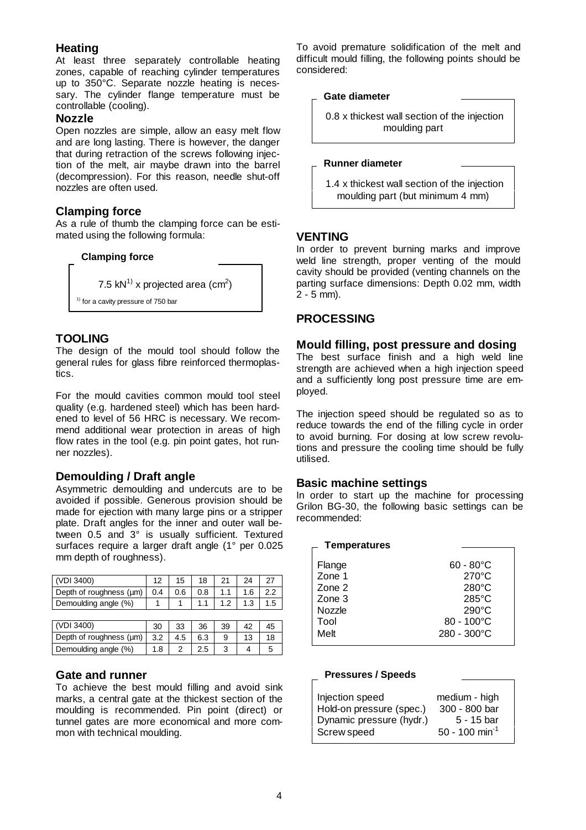### **Heating**

At least three separately controllable heating zones, capable of reaching cylinder temperatures up to 350°C. Separate nozzle heating is necessary. The cylinder flange temperature must be controllable (cooling).

#### **Nozzle**

Open nozzles are simple, allow an easy melt flow and are long lasting. There is however, the danger that during retraction of the screws following injection of the melt, air maybe drawn into the barrel (decompression). For this reason, needle shut-off nozzles are often used.

### **Clamping force**

As a rule of thumb the clamping force can be estimated using the following formula:



## **TOOLING**

The design of the mould tool should follow the general rules for glass fibre reinforced thermoplastics.

For the mould cavities common mould tool steel quality (e.g. hardened steel) which has been hardened to level of 56 HRC is necessary. We recommend additional wear protection in areas of high flow rates in the tool (e.g. pin point gates, hot runner nozzles).

## **Demoulding / Draft angle**

Asymmetric demoulding and undercuts are to be avoided if possible. Generous provision should be made for ejection with many large pins or a stripper plate. Draft angles for the inner and outer wall between 0.5 and 3° is usually sufficient. Textured surfaces require a larger draft angle (1° per 0.025 mm depth of roughness).

| (VDI 3400)              | 12  | 15  | 18  | 21  | 24  | 27  |
|-------------------------|-----|-----|-----|-----|-----|-----|
| Depth of roughness (µm) | 0.4 | 0.6 | 0.8 | 1.1 | 1.6 | 2.2 |
| Demoulding angle (%)    |     |     | 1.1 | 1.2 | 1.3 | 1.5 |
|                         |     |     |     |     |     |     |
| (VDI 3400)              | 30  | 33  | 36  | 39  | 42  | 45  |
| Depth of roughness (µm) | 3.2 | 4.5 | 6.3 | 9   | 13  | 18  |

Demoulding angle  $(\%)$  | 1.8 | 2 | 2.5 | 3 | 4 | 5

### **Gate and runner**

To achieve the best mould filling and avoid sink marks, a central gate at the thickest section of the moulding is recommended. Pin point (direct) or tunnel gates are more economical and more common with technical moulding.

To avoid premature solidification of the melt and difficult mould filling, the following points should be considered:

#### **Gate diameter**

 0.8 x thickest wall section of the injection moulding part

#### **Runner diameter**

 1.4 x thickest wall section of the injection moulding part (but minimum 4 mm)

### **VENTING**

In order to prevent burning marks and improve weld line strength, proper venting of the mould cavity should be provided (venting channels on the parting surface dimensions: Depth 0.02 mm, width 2 - 5 mm).

## **PROCESSING**

#### **Mould filling, post pressure and dosing**

The best surface finish and a high weld line strength are achieved when a high injection speed and a sufficiently long post pressure time are employed.

The injection speed should be regulated so as to reduce towards the end of the filling cycle in order to avoid burning. For dosing at low screw revolutions and pressure the cooling time should be fully utilised.

### **Basic machine settings**

In order to start up the machine for processing Grilon BG-30, the following basic settings can be recommended:

| <b>Temperatures</b>                                            |                                                                                                                                                  |
|----------------------------------------------------------------|--------------------------------------------------------------------------------------------------------------------------------------------------|
| Flange<br>Zone 1<br>Zone 2<br>Zone 3<br>Nozzle<br>Tool<br>Melt | $60 - 80^{\circ}$ C<br>$270^{\circ}$ C<br>$280^{\circ}$ C<br>$285^{\circ}$ C<br>$290^{\circ}$ C<br>$80 - 100^{\circ}$ C<br>$280 - 300^{\circ}$ C |
|                                                                |                                                                                                                                                  |

#### **Pressures / Speeds**

| medium - high<br>300 - 800 bar<br>$5 - 15$ bar |
|------------------------------------------------|
| $50 - 100$ min <sup>-1</sup>                   |
|                                                |